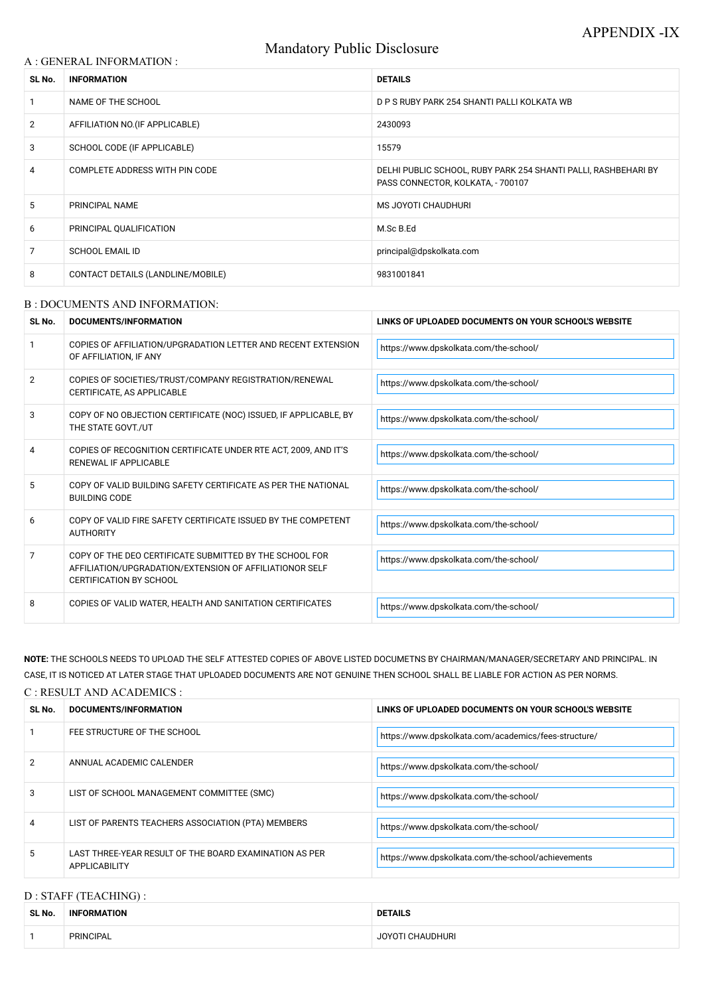# Mandatory Public Disclosure

### A : GENERAL INFORMATION :

| SL No.          | <b>INFORMATION</b>                | <b>DETAILS</b>                                                                                      |  |
|-----------------|-----------------------------------|-----------------------------------------------------------------------------------------------------|--|
|                 | NAME OF THE SCHOOL                | D P S RUBY PARK 254 SHANTI PALLI KOLKATA WB                                                         |  |
| $\overline{2}$  | AFFILIATION NO. (IF APPLICABLE)   | 2430093                                                                                             |  |
| 3               | SCHOOL CODE (IF APPLICABLE)       | 15579                                                                                               |  |
| 4               | COMPLETE ADDRESS WITH PIN CODE    | DELHI PUBLIC SCHOOL, RUBY PARK 254 SHANTI PALLI, RASHBEHARI BY<br>PASS CONNECTOR, KOLKATA, - 700107 |  |
| $5\overline{)}$ | PRINCIPAL NAME                    | MS JOYOTI CHAUDHURI                                                                                 |  |
| 6               | PRINCIPAL QUALIFICATION           | M.Sc B.Ed                                                                                           |  |
| 7               | <b>SCHOOL EMAIL ID</b>            | principal@dpskolkata.com                                                                            |  |
| 8               | CONTACT DETAILS (LANDLINE/MOBILE) | 9831001841                                                                                          |  |

### B : DOCUMENTS AND INFORMATION:

| SL No.         | DOCUMENTS/INFORMATION                                                                                                                                | LINKS OF UPLOADED DOCUMENTS ON YOUR SCHOOL'S WEBSITE |  |
|----------------|------------------------------------------------------------------------------------------------------------------------------------------------------|------------------------------------------------------|--|
|                | COPIES OF AFFILIATION/UPGRADATION LETTER AND RECENT EXTENSION<br>OF AFFILIATION, IF ANY                                                              | https://www.dpskolkata.com/the-school/               |  |
| $\overline{2}$ | COPIES OF SOCIETIES/TRUST/COMPANY REGISTRATION/RENEWAL<br>CERTIFICATE, AS APPLICABLE                                                                 | https://www.dpskolkata.com/the-school/               |  |
| 3              | COPY OF NO OBJECTION CERTIFICATE (NOC) ISSUED, IF APPLICABLE, BY<br>THE STATE GOVT./UT                                                               | https://www.dpskolkata.com/the-school/               |  |
| 4              | COPIES OF RECOGNITION CERTIFICATE UNDER RTE ACT, 2009, AND IT'S<br>RENEWAL IF APPLICABLE                                                             | https://www.dpskolkata.com/the-school/               |  |
| 5              | COPY OF VALID BUILDING SAFETY CERTIFICATE AS PER THE NATIONAL<br><b>BUILDING CODE</b>                                                                | https://www.dpskolkata.com/the-school/               |  |
| 6              | COPY OF VALID FIRE SAFETY CERTIFICATE ISSUED BY THE COMPETENT<br><b>AUTHORITY</b>                                                                    | https://www.dpskolkata.com/the-school/               |  |
| 7              | COPY OF THE DEO CERTIFICATE SUBMITTED BY THE SCHOOL FOR<br>AFFILIATION/UPGRADATION/EXTENSION OF AFFILIATIONOR SELF<br><b>CERTIFICATION BY SCHOOL</b> | https://www.dpskolkata.com/the-school/               |  |
| 8              | COPIES OF VALID WATER, HEALTH AND SANITATION CERTIFICATES                                                                                            | https://www.dpskolkata.com/the-school/               |  |

| 2 | ANNUAL ACADEMIC CALENDER                                                | https://www.dpskolkata.com/the-school/             |
|---|-------------------------------------------------------------------------|----------------------------------------------------|
| 3 | LIST OF SCHOOL MANAGEMENT COMMITTEE (SMC)                               | https://www.dpskolkata.com/the-school/             |
| 4 | LIST OF PARENTS TEACHERS ASSOCIATION (PTA) MEMBERS                      | https://www.dpskolkata.com/the-school/             |
| 5 | LAST THREE-YEAR RESULT OF THE BOARD EXAMINATION AS PER<br>APPLICABILITY | https://www.dpskolkata.com/the-school/achievements |

**NOTE:** THE SCHOOLS NEEDS TO UPLOAD THE SELF ATTESTED COPIES OF ABOVE LISTED DOCUMETNS BY CHAIRMAN/MANAGER/SECRETARY AND PRINCIPAL. IN CASE, IT IS NOTICED AT LATER STAGE THAT UPLOADED DOCUMENTS ARE NOT GENUINE THEN SCHOOL SHALL BE LIABLE FOR ACTION AS PER NORMS.

## C : RESULT AND ACADEMICS :

| SL No. | <b>DOCUMENTS/INFORMATION</b> | LINKS OF UPLOADED DOCUMENTS ON YOUR SCHOOL'S WEBSITE   |  |
|--------|------------------------------|--------------------------------------------------------|--|
|        | FEE STRUCTURE OF THE SCHOOL  | I https://www.dpskolkata.com/academics/fees-structure/ |  |

# D : STAFF (TEACHING) :

| SL No. | <b>INFORMATION</b> | <b>DETAILS</b>   |
|--------|--------------------|------------------|
|        | <b>PRINCIPAL</b>   | JOYOTI CHAUDHURI |